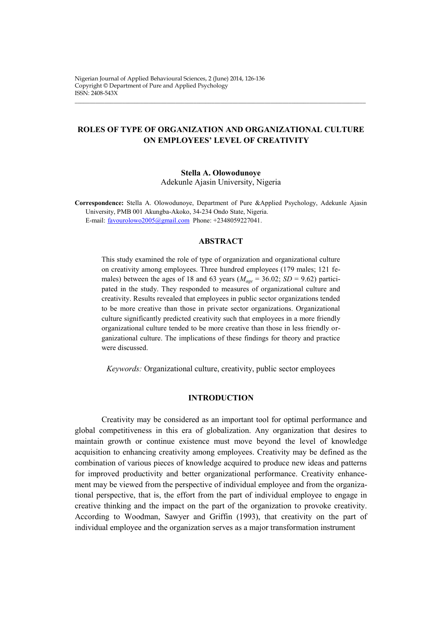# **ROLES OF TYPE OF ORGANIZATION AND ORGANIZATIONAL CULTURE ON EMPLOYEES' LEVEL OF CREATIVITY**

 $\_$  ,  $\_$  ,  $\_$  ,  $\_$  ,  $\_$  ,  $\_$  ,  $\_$  ,  $\_$  ,  $\_$  ,  $\_$  ,  $\_$  ,  $\_$  ,  $\_$  ,  $\_$  ,  $\_$  ,  $\_$  ,  $\_$  ,  $\_$  ,  $\_$  ,  $\_$  ,  $\_$  ,  $\_$  ,  $\_$  ,  $\_$  ,  $\_$  ,  $\_$  ,  $\_$  ,  $\_$  ,  $\_$  ,  $\_$  ,  $\_$  ,  $\_$  ,  $\_$  ,  $\_$  ,  $\_$  ,  $\_$  ,  $\_$  ,

**Stella A. Olowodunoye** Adekunle Ajasin University, Nigeria

**Correspondence:** Stella A. Olowodunoye, Department of Pure &Applied Psychology, Adekunle Ajasin University, PMB 001 Akungba-Akoko, 34-234 Ondo State, Nigeria. E-mail: [favourolowo2005@gmail.com](mailto:favourolowo2005@gmail.com) Phone: +2348059227041.

## **ABSTRACT**

This study examined the role of type of organization and organizational culture on creativity among employees. Three hundred employees (179 males; 121 females) between the ages of 18 and 63 years ( $M_{age} = 36.02$ ; *SD* = 9.62) participated in the study. They responded to measures of organizational culture and creativity. Results revealed that employees in public sector organizations tended to be more creative than those in private sector organizations. Organizational culture significantly predicted creativity such that employees in a more friendly organizational culture tended to be more creative than those in less friendly organizational culture. The implications of these findings for theory and practice were discussed.

*Keywords:* Organizational culture, creativity, public sector employees

### **INTRODUCTION**

Creativity may be considered as an important tool for optimal performance and global competitiveness in this era of globalization. Any organization that desires to maintain growth or continue existence must move beyond the level of knowledge acquisition to enhancing creativity among employees. Creativity may be defined as the combination of various pieces of knowledge acquired to produce new ideas and patterns for improved productivity and better organizational performance. Creativity enhancement may be viewed from the perspective of individual employee and from the organizational perspective, that is, the effort from the part of individual employee to engage in creative thinking and the impact on the part of the organization to provoke creativity. According to Woodman, Sawyer and Griffin (1993), that creativity on the part of individual employee and the organization serves as a major transformation instrument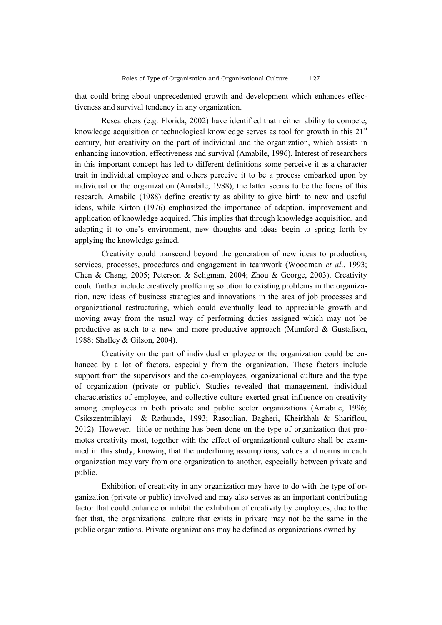that could bring about unprecedented growth and development which enhances effectiveness and survival tendency in any organization.

Researchers (e.g. Florida, 2002) have identified that neither ability to compete, knowledge acquisition or technological knowledge serves as tool for growth in this 21<sup>st</sup> century, but creativity on the part of individual and the organization, which assists in enhancing innovation, effectiveness and survival (Amabile, 1996). Interest of researchers in this important concept has led to different definitions some perceive it as a character trait in individual employee and others perceive it to be a process embarked upon by individual or the organization (Amabile, 1988), the latter seems to be the focus of this research. Amabile (1988) define creativity as ability to give birth to new and useful ideas, while Kirton (1976) emphasized the importance of adaption, improvement and application of knowledge acquired. This implies that through knowledge acquisition, and adapting it to one's environment, new thoughts and ideas begin to spring forth by applying the knowledge gained.

Creativity could transcend beyond the generation of new ideas to production, services, processes, procedures and engagement in teamwork (Woodman *et al*., 1993; Chen & Chang, 2005; Peterson & Seligman, 2004; Zhou & George, 2003). Creativity could further include creatively proffering solution to existing problems in the organization, new ideas of business strategies and innovations in the area of job processes and organizational restructuring, which could eventually lead to appreciable growth and moving away from the usual way of performing duties assigned which may not be productive as such to a new and more productive approach (Mumford & Gustafson, 1988; Shalley & Gilson, 2004).

Creativity on the part of individual employee or the organization could be enhanced by a lot of factors, especially from the organization. These factors include support from the supervisors and the co-employees, organizational culture and the type of organization (private or public). Studies revealed that management, individual characteristics of employee, and collective culture exerted great influence on creativity among employees in both private and public sector organizations (Amabile, 1996; Csikszentmihlayi & Rathunde, 1993; Rasoulian, Bagheri, Kheirkhah & Shariflou, 2012). However, little or nothing has been done on the type of organization that promotes creativity most, together with the effect of organizational culture shall be examined in this study, knowing that the underlining assumptions, values and norms in each organization may vary from one organization to another, especially between private and public.

Exhibition of creativity in any organization may have to do with the type of organization (private or public) involved and may also serves as an important contributing factor that could enhance or inhibit the exhibition of creativity by employees, due to the fact that, the organizational culture that exists in private may not be the same in the public organizations. Private organizations may be defined as organizations owned by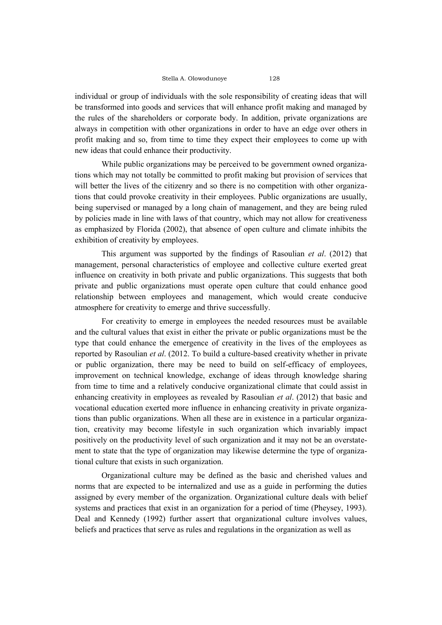individual or group of individuals with the sole responsibility of creating ideas that will be transformed into goods and services that will enhance profit making and managed by the rules of the shareholders or corporate body. In addition, private organizations are always in competition with other organizations in order to have an edge over others in profit making and so, from time to time they expect their employees to come up with new ideas that could enhance their productivity.

While public organizations may be perceived to be government owned organizations which may not totally be committed to profit making but provision of services that will better the lives of the citizenry and so there is no competition with other organizations that could provoke creativity in their employees. Public organizations are usually, being supervised or managed by a long chain of management, and they are being ruled by policies made in line with laws of that country, which may not allow for creativeness as emphasized by Florida (2002), that absence of open culture and climate inhibits the exhibition of creativity by employees.

This argument was supported by the findings of Rasoulian *et al*. (2012) that management, personal characteristics of employee and collective culture exerted great influence on creativity in both private and public organizations. This suggests that both private and public organizations must operate open culture that could enhance good relationship between employees and management, which would create conducive atmosphere for creativity to emerge and thrive successfully.

For creativity to emerge in employees the needed resources must be available and the cultural values that exist in either the private or public organizations must be the type that could enhance the emergence of creativity in the lives of the employees as reported by Rasoulian *et al*. (2012. To build a culture-based creativity whether in private or public organization, there may be need to build on self-efficacy of employees, improvement on technical knowledge, exchange of ideas through knowledge sharing from time to time and a relatively conducive organizational climate that could assist in enhancing creativity in employees as revealed by Rasoulian *et al*. (2012) that basic and vocational education exerted more influence in enhancing creativity in private organizations than public organizations. When all these are in existence in a particular organization, creativity may become lifestyle in such organization which invariably impact positively on the productivity level of such organization and it may not be an overstatement to state that the type of organization may likewise determine the type of organizational culture that exists in such organization.

Organizational culture may be defined as the basic and cherished values and norms that are expected to be internalized and use as a guide in performing the duties assigned by every member of the organization. Organizational culture deals with belief systems and practices that exist in an organization for a period of time (Pheysey, 1993). Deal and Kennedy (1992) further assert that organizational culture involves values, beliefs and practices that serve as rules and regulations in the organization as well as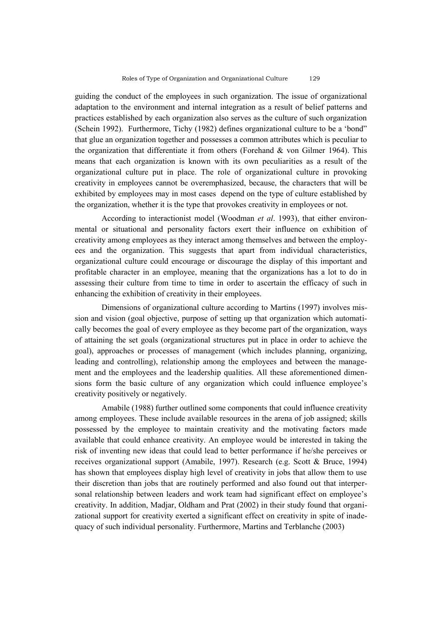guiding the conduct of the employees in such organization. The issue of organizational adaptation to the environment and internal integration as a result of belief patterns and practices established by each organization also serves as the culture of such organization (Schein 1992). Furthermore, Tichy (1982) defines organizational culture to be a 'bond" that glue an organization together and possesses a common attributes which is peculiar to the organization that differentiate it from others (Forehand & von Gilmer 1964). This means that each organization is known with its own peculiarities as a result of the organizational culture put in place. The role of organizational culture in provoking creativity in employees cannot be overemphasized, because, the characters that will be exhibited by employees may in most cases depend on the type of culture established by the organization, whether it is the type that provokes creativity in employees or not.

According to interactionist model (Woodman *et al*. 1993), that either environmental or situational and personality factors exert their influence on exhibition of creativity among employees as they interact among themselves and between the employees and the organization. This suggests that apart from individual characteristics, organizational culture could encourage or discourage the display of this important and profitable character in an employee, meaning that the organizations has a lot to do in assessing their culture from time to time in order to ascertain the efficacy of such in enhancing the exhibition of creativity in their employees.

Dimensions of organizational culture according to Martins (1997) involves mission and vision (goal objective, purpose of setting up that organization which automatically becomes the goal of every employee as they become part of the organization, ways of attaining the set goals (organizational structures put in place in order to achieve the goal), approaches or processes of management (which includes planning, organizing, leading and controlling), relationship among the employees and between the management and the employees and the leadership qualities. All these aforementioned dimensions form the basic culture of any organization which could influence employee's creativity positively or negatively.

Amabile (1988) further outlined some components that could influence creativity among employees. These include available resources in the arena of job assigned; skills possessed by the employee to maintain creativity and the motivating factors made available that could enhance creativity. An employee would be interested in taking the risk of inventing new ideas that could lead to better performance if he/she perceives or receives organizational support (Amabile, 1997). Research (e.g. Scott & Bruce, 1994) has shown that employees display high level of creativity in jobs that allow them to use their discretion than jobs that are routinely performed and also found out that interpersonal relationship between leaders and work team had significant effect on employee's creativity. In addition, Madjar, Oldham and Prat (2002) in their study found that organizational support for creativity exerted a significant effect on creativity in spite of inadequacy of such individual personality. Furthermore, Martins and Terblanche (2003)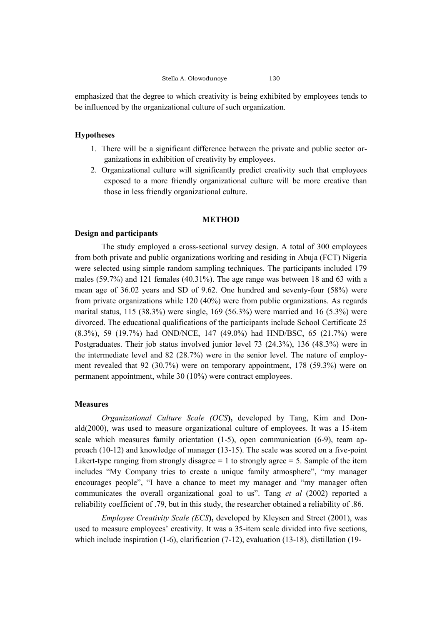Stella A. Olowodunoye 130

emphasized that the degree to which creativity is being exhibited by employees tends to be influenced by the organizational culture of such organization.

# **Hypotheses**

- 1. There will be a significant difference between the private and public sector organizations in exhibition of creativity by employees.
- 2. Organizational culture will significantly predict creativity such that employees exposed to a more friendly organizational culture will be more creative than those in less friendly organizational culture.

### **METHOD**

# **Design and participants**

The study employed a cross-sectional survey design. A total of 300 employees from both private and public organizations working and residing in Abuja (FCT) Nigeria were selected using simple random sampling techniques. The participants included 179 males (59.7%) and 121 females (40.31%). The age range was between 18 and 63 with a mean age of 36.02 years and SD of 9.62. One hundred and seventy-four (58%) were from private organizations while 120 (40%) were from public organizations. As regards marital status, 115 (38.3%) were single, 169 (56.3%) were married and 16 (5.3%) were divorced. The educational qualifications of the participants include School Certificate 25 (8.3%), 59 (19.7%) had OND/NCE, 147 (49.0%) had HND/BSC, 65 (21.7%) were Postgraduates. Their job status involved junior level 73 (24.3%), 136 (48.3%) were in the intermediate level and 82 (28.7%) were in the senior level. The nature of employment revealed that 92 (30.7%) were on temporary appointment, 178 (59.3%) were on permanent appointment, while 30 (10%) were contract employees.

# **Measures**

*Organizational Culture Scale (OCS***),** developed by Tang, Kim and Donald(2000), was used to measure organizational culture of employees. It was a 15-item scale which measures family orientation  $(1-5)$ , open communication  $(6-9)$ , team approach (10-12) and knowledge of manager (13-15). The scale was scored on a five-point Likert-type ranging from strongly disagree  $= 1$  to strongly agree  $= 5$ . Sample of the item includes "My Company tries to create a unique family atmosphere", "my manager encourages people", "I have a chance to meet my manager and "my manager often communicates the overall organizational goal to us". Tang *et al* (2002) reported a reliability coefficient of .79, but in this study, the researcher obtained a reliability of .86.

*Employee Creativity Scale (ECS***),** developed by Kleysen and Street (2001), was used to measure employees' creativity. It was a 35-item scale divided into five sections, which include inspiration (1-6), clarification (7-12), evaluation (13-18), distillation (19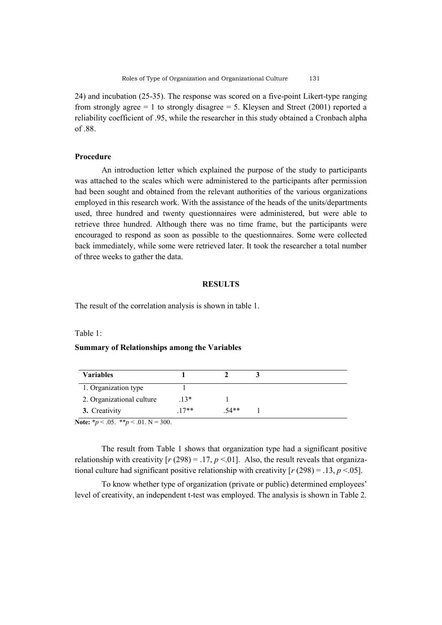24) and incubation (25-35). The response was scored on a five-point Likert-type ranging from strongly agree  $= 1$  to strongly disagree  $= 5$ . Kleysen and Street (2001) reported a reliability coefficient of .95, while the researcher in this study obtained a Cronbach alpha of 88.

### **Procedure**

An introduction letter which explained the purpose of the study to participants was attached to the scales which were administered to the participants after permission had been sought and obtained from the relevant authorities of the various organizations employed in this research work. With the assistance of the heads of the units/departments used, three hundred and twenty questionnaires were administered, but were able to retrieve three hundred. Although there was no time frame, but the participants were encouraged to respond as soon as possible to the questionnaires. Some were collected back immediately, while some were retrieved later. It took the researcher a total number of three weeks to gather the data.

# **RESULTS**

The result of the correlation analysis is shown in table 1.

#### Table 1:

### **Summary of Relationships among the Variables**

| <b>Variables</b>          |        |      |  |
|---------------------------|--------|------|--|
| 1. Organization type      |        |      |  |
| 2. Organizational culture | $13*$  |      |  |
| 3. Creativity             | $17**$ | 54** |  |

**Note:**  $* p < .05.$   $* p < .01.$  N = 300.

The result from Table 1 shows that organization type had a significant positive relationship with creativity  $[r (298) = .17, p < .01]$ . Also, the result reveals that organizational culture had significant positive relationship with creativity  $[r (298) = .13, p < .05]$ .

To know whether type of organization (private or public) determined employees' level of creativity, an independent t-test was employed. The analysis is shown in Table 2.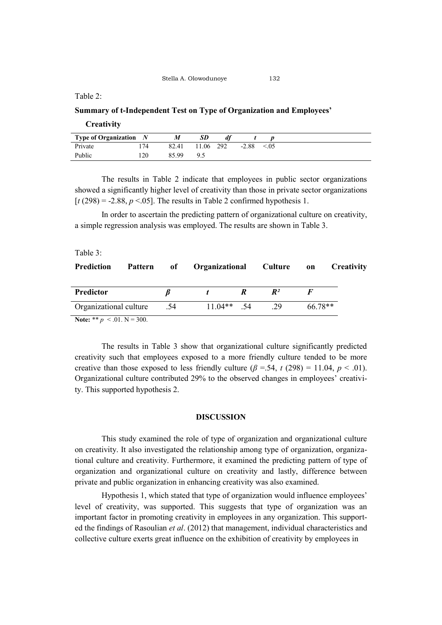# Table 2:

## **Summary of t-Independent Test on Type of Organization and Employees'**

### **Creativity**

|         | <b>Type of Organization</b> $N$ | M     | SD        |         |       |
|---------|---------------------------------|-------|-----------|---------|-------|
| Private | 174                             | 82.41 | 11.06 292 | $-2.88$ | < 0.5 |
| Public  | 120                             | 85.99 |           |         |       |

The results in Table 2 indicate that employees in public sector organizations showed a significantly higher level of creativity than those in private sector organizations  $[t(298) = -2.88, p < .05]$ . The results in Table 2 confirmed hypothesis 1.

In order to ascertain the predicting pattern of organizational culture on creativity, a simple regression analysis was employed. The results are shown in Table 3.

# Table 3:

| <b>Prediction</b>      |     | Pattern of Organizational Culture on |  |                |         | <b>Creativity</b> |
|------------------------|-----|--------------------------------------|--|----------------|---------|-------------------|
| Predictor              |     |                                      |  | $\mathbb{R}^2$ |         |                   |
| Organizational culture | .54 | $11.04**$ 54                         |  | 29             | 66.78** |                   |
| .<br>- - -             |     |                                      |  |                |         |                   |

**Note:** \*\*  $p \le 0.01$ . N = 300.

The results in Table 3 show that organizational culture significantly predicted creativity such that employees exposed to a more friendly culture tended to be more creative than those exposed to less friendly culture  $(\beta = .54, t (298) = 11.04, p < .01)$ . Organizational culture contributed 29% to the observed changes in employees' creativity. This supported hypothesis 2.

### **DISCUSSION**

This study examined the role of type of organization and organizational culture on creativity. It also investigated the relationship among type of organization, organizational culture and creativity. Furthermore, it examined the predicting pattern of type of organization and organizational culture on creativity and lastly, difference between private and public organization in enhancing creativity was also examined.

Hypothesis 1, which stated that type of organization would influence employees' level of creativity, was supported. This suggests that type of organization was an important factor in promoting creativity in employees in any organization. This supported the findings of Rasoulian *et al*. (2012) that management, individual characteristics and collective culture exerts great influence on the exhibition of creativity by employees in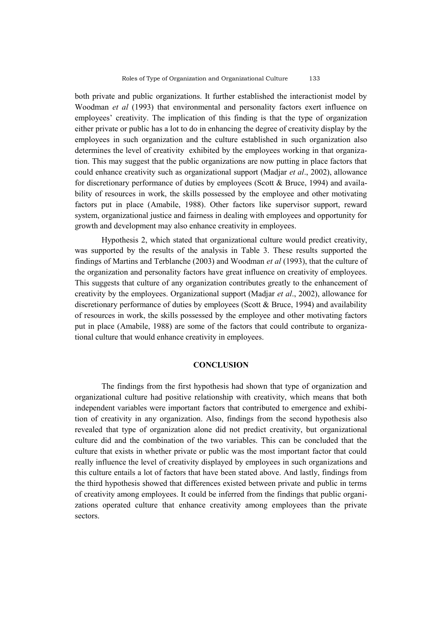both private and public organizations. It further established the interactionist model by Woodman *et al* (1993) that environmental and personality factors exert influence on employees' creativity. The implication of this finding is that the type of organization either private or public has a lot to do in enhancing the degree of creativity display by the employees in such organization and the culture established in such organization also determines the level of creativity exhibited by the employees working in that organization. This may suggest that the public organizations are now putting in place factors that could enhance creativity such as organizational support (Madjar *et al*., 2002), allowance for discretionary performance of duties by employees (Scott & Bruce, 1994) and availability of resources in work, the skills possessed by the employee and other motivating factors put in place (Amabile, 1988). Other factors like supervisor support, reward system, organizational justice and fairness in dealing with employees and opportunity for growth and development may also enhance creativity in employees.

Hypothesis 2, which stated that organizational culture would predict creativity, was supported by the results of the analysis in Table 3. These results supported the findings of Martins and Terblanche (2003) and Woodman *et al* (1993), that the culture of the organization and personality factors have great influence on creativity of employees. This suggests that culture of any organization contributes greatly to the enhancement of creativity by the employees. Organizational support (Madjar *et al*., 2002), allowance for discretionary performance of duties by employees (Scott & Bruce, 1994) and availability of resources in work, the skills possessed by the employee and other motivating factors put in place (Amabile, 1988) are some of the factors that could contribute to organizational culture that would enhance creativity in employees.

#### **CONCLUSION**

The findings from the first hypothesis had shown that type of organization and organizational culture had positive relationship with creativity, which means that both independent variables were important factors that contributed to emergence and exhibition of creativity in any organization. Also, findings from the second hypothesis also revealed that type of organization alone did not predict creativity, but organizational culture did and the combination of the two variables. This can be concluded that the culture that exists in whether private or public was the most important factor that could really influence the level of creativity displayed by employees in such organizations and this culture entails a lot of factors that have been stated above. And lastly, findings from the third hypothesis showed that differences existed between private and public in terms of creativity among employees. It could be inferred from the findings that public organizations operated culture that enhance creativity among employees than the private sectors.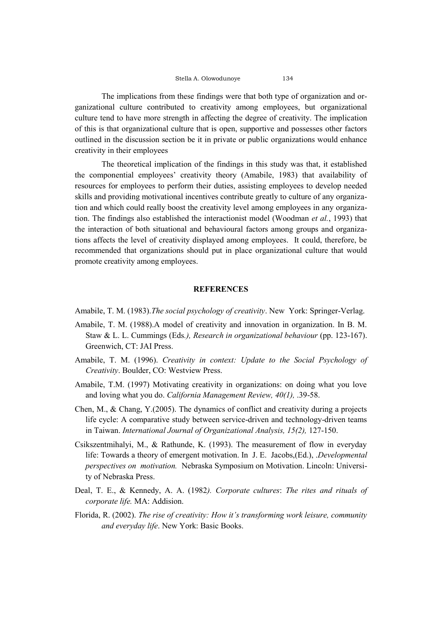The implications from these findings were that both type of organization and organizational culture contributed to creativity among employees, but organizational culture tend to have more strength in affecting the degree of creativity. The implication of this is that organizational culture that is open, supportive and possesses other factors outlined in the discussion section be it in private or public organizations would enhance creativity in their employees

The theoretical implication of the findings in this study was that, it established the componential employees' creativity theory (Amabile, 1983) that availability of resources for employees to perform their duties, assisting employees to develop needed skills and providing motivational incentives contribute greatly to culture of any organization and which could really boost the creativity level among employees in any organization. The findings also established the interactionist model (Woodman *et al.*, 1993) that the interaction of both situational and behavioural factors among groups and organizations affects the level of creativity displayed among employees. It could, therefore, be recommended that organizations should put in place organizational culture that would promote creativity among employees.

### **REFERENCES**

Amabile, T. M. (1983).*The social psychology of creativity*. New York: Springer-Verlag.

- Amabile, T. M. (1988).A model of creativity and innovation in organization. In B. M. Staw & L. L. Cummings (Eds*.), Research in organizational behaviour* (pp. 123-167). Greenwich, CT: JAI Press.
- Amabile, T. M. (1996). *Creativity in context: Update to the Social Psychology of Creativity*. Boulder, CO: Westview Press.
- Amabile, T.M. (1997) Motivating creativity in organizations: on doing what you love and loving what you do. *California Management Review, 40(1),* .39-58.
- Chen, M., & Chang, Y.(2005). The dynamics of conflict and creativity during a projects life cycle: A comparative study between service-driven and technology-driven teams in Taiwan. *International Journal of Organizational Analysis, 15(2),* 127-150.
- Csikszentmihalyi, M., & Rathunde, K. (1993). The measurement of flow in everyday life: Towards a theory of emergent motivation. In J. E. Jacobs,(Ed.), .*Developmental perspectives on motivation.* Nebraska Symposium on Motivation. Lincoln: University of Nebraska Press.
- Deal, T. E., & Kennedy, A. A. (1982*). Corporate cultures*: *The rites and rituals of corporate life.* MA: Addision.
- Florida, R. (2002). *The rise of creativity: How it's transforming work leisure, community and everyday life*. New York: Basic Books.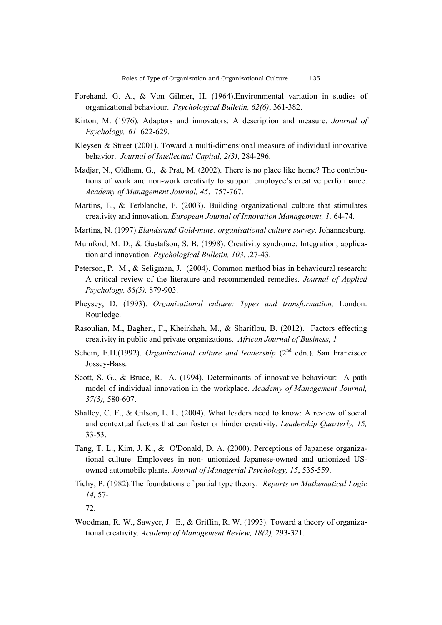- Forehand, G. A., & Von Gilmer, H. (1964).Environmental variation in studies of organizational behaviour. *Psychological Bulletin, 62(6)*, 361-382.
- Kirton, M. (1976). Adaptors and innovators: A description and measure. *Journal of Psychology, 61,* 622-629.
- Kleysen & Street (2001). Toward a multi-dimensional measure of individual innovative behavior. *Journal of Intellectual Capital, 2(3)*, 284-296.
- Madjar, N., Oldham, G., & Prat, M. (2002). There is no place like home? The contributions of work and non-work creativity to support employee's creative performance. *Academy of Management Journal, 45*, 757-767.
- Martins, E., & Terblanche, F. (2003). Building organizational culture that stimulates creativity and innovation. *European Journal of Innovation Management, 1,* 64-74.
- Martins, N. (1997).*Elandsrand Gold-mine: organisational culture survey*. Johannesburg.
- Mumford, M. D., & Gustafson, S. B. (1998). Creativity syndrome: Integration, application and innovation. *Psychological Bulletin, 103*, .27-43.
- Peterson, P. M., & Seligman, J. (2004). Common method bias in behavioural research: A critical review of the literature and recommended remedies. *Journal of Applied Psychology, 88(5),* 879-903.
- Pheysey, D. (1993). *Organizational culture: Types and transformation,* London: Routledge.
- Rasoulian, M., Bagheri, F., Kheirkhah, M., & Shariflou, B. (2012). Factors effecting creativity in public and private organizations. *African Journal of Business, 1*
- Schein, E.H.(1992). *Organizational culture and leadership* (2<sup>nd</sup> edn.). San Francisco: Jossey-Bass.
- Scott, S. G., & Bruce, R. A. (1994). Determinants of innovative behaviour: A path model of individual innovation in the workplace. *Academy of Management Journal, 37(3),* 580-607.
- Shalley, C. E., & Gilson, L. L. (2004). What leaders need to know: A review of social and contextual factors that can foster or hinder creativity. *Leadership Quarterly, 15,* 33-53.
- Tang, T. L., Kim, J. K., & O'Donald, D. A. (2000). Perceptions of Japanese organizational culture: Employees in non- unionized Japanese-owned and unionized USowned automobile plants. *Journal of Managerial Psychology, 15*, 535-559.
- Tichy, P. (1982).The foundations of partial type theory. *Reports on Mathematical Logic 14,* 57-

Woodman, R. W., Sawyer, J. E., & Griffin, R. W. (1993). Toward a theory of organizational creativity. *Academy of Management Review, 18(2),* 293-321.

<sup>72.</sup>